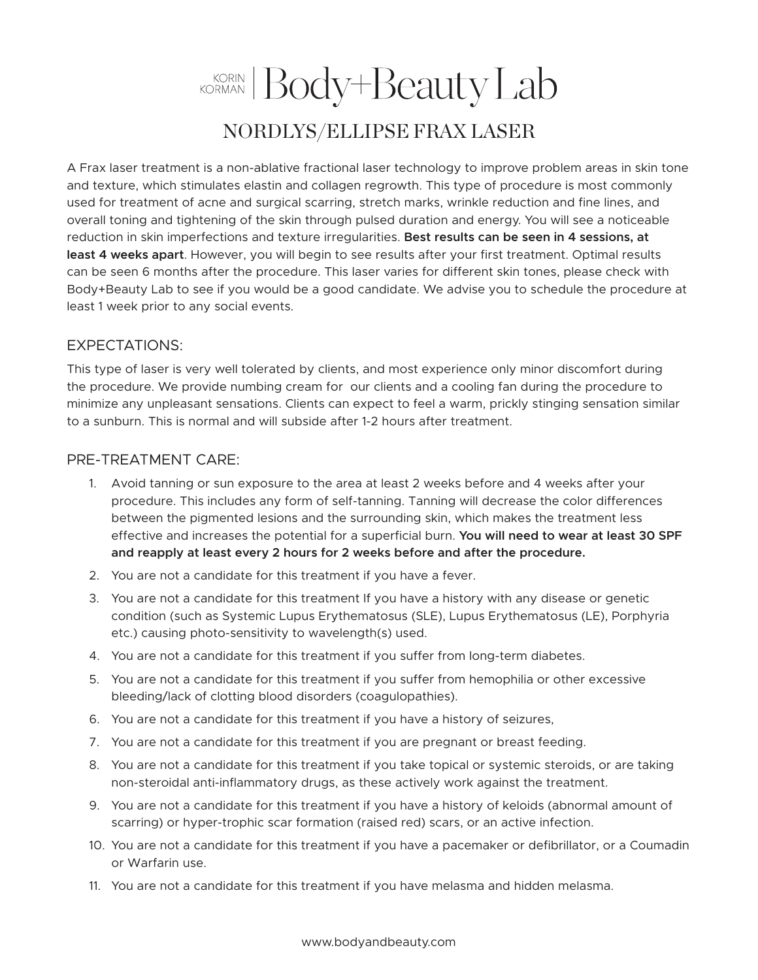## KORIAN Body+Beauty Lab NORDLYS/ELLIPSE FRAX LASER

A Frax laser treatment is a non-ablative fractional laser technology to improve problem areas in skin tone and texture, which stimulates elastin and collagen regrowth. This type of procedure is most commonly used for treatment of acne and surgical scarring, stretch marks, wrinkle reduction and fine lines, and overall toning and tightening of the skin through pulsed duration and energy. You will see a noticeable reduction in skin imperfections and texture irregularities. **Best results can be seen in 4 sessions, at least 4 weeks apart**. However, you will begin to see results after your first treatment. Optimal results can be seen 6 months after the procedure. This laser varies for different skin tones, please check with Body+Beauty Lab to see if you would be a good candidate. We advise you to schedule the procedure at least 1 week prior to any social events.

## EXPECTATIONS:

This type of laser is very well tolerated by clients, and most experience only minor discomfort during the procedure. We provide numbing cream for our clients and a cooling fan during the procedure to minimize any unpleasant sensations. Clients can expect to feel a warm, prickly stinging sensation similar to a sunburn. This is normal and will subside after 1-2 hours after treatment.

## PRE-TREATMENT CARE:

- 1. Avoid tanning or sun exposure to the area at least 2 weeks before and 4 weeks after your procedure. This includes any form of self-tanning. Tanning will decrease the color differences between the pigmented lesions and the surrounding skin, which makes the treatment less effective and increases the potential for a superficial burn. **You will need to wear at least 30 SPF and reapply at least every 2 hours for 2 weeks before and after the procedure.**
- 2. You are not a candidate for this treatment if you have a fever.
- 3. You are not a candidate for this treatment If you have a history with any disease or genetic condition (such as Systemic Lupus Erythematosus (SLE), Lupus Erythematosus (LE), Porphyria etc.) causing photo-sensitivity to wavelength(s) used.
- 4. You are not a candidate for this treatment if you suffer from long-term diabetes.
- 5. You are not a candidate for this treatment if you suffer from hemophilia or other excessive bleeding/lack of clotting blood disorders (coagulopathies).
- 6. You are not a candidate for this treatment if you have a history of seizures,
- 7. You are not a candidate for this treatment if you are pregnant or breast feeding.
- 8. You are not a candidate for this treatment if you take topical or systemic steroids, or are taking non-steroidal anti-inflammatory drugs, as these actively work against the treatment.
- 9. You are not a candidate for this treatment if you have a history of keloids (abnormal amount of scarring) or hyper-trophic scar formation (raised red) scars, or an active infection.
- 10. You are not a candidate for this treatment if you have a pacemaker or defibrillator, or a Coumadin or Warfarin use.
- 11. You are not a candidate for this treatment if you have melasma and hidden melasma.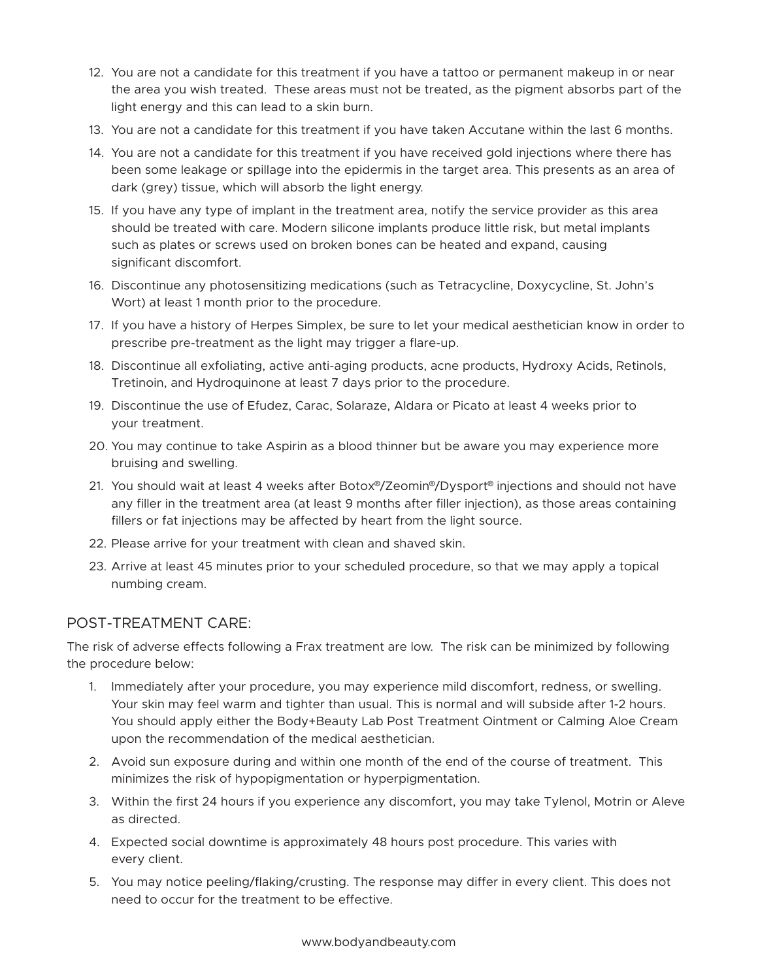- 12. You are not a candidate for this treatment if you have a tattoo or permanent makeup in or near the area you wish treated. These areas must not be treated, as the pigment absorbs part of the light energy and this can lead to a skin burn.
- 13. You are not a candidate for this treatment if you have taken Accutane within the last 6 months.
- 14. You are not a candidate for this treatment if you have received gold injections where there has been some leakage or spillage into the epidermis in the target area. This presents as an area of dark (grey) tissue, which will absorb the light energy.
- 15. If you have any type of implant in the treatment area, notify the service provider as this area should be treated with care. Modern silicone implants produce little risk, but metal implants such as plates or screws used on broken bones can be heated and expand, causing significant discomfort.
- 16. Discontinue any photosensitizing medications (such as Tetracycline, Doxycycline, St. John's Wort) at least 1 month prior to the procedure.
- 17. If you have a history of Herpes Simplex, be sure to let your medical aesthetician know in order to prescribe pre-treatment as the light may trigger a flare-up.
- 18. Discontinue all exfoliating, active anti-aging products, acne products, Hydroxy Acids, Retinols, Tretinoin, and Hydroquinone at least 7 days prior to the procedure.
- 19. Discontinue the use of Efudez, Carac, Solaraze, Aldara or Picato at least 4 weeks prior to your treatment.
- 20. You may continue to take Aspirin as a blood thinner but be aware you may experience more bruising and swelling.
- 21. You should wait at least 4 weeks after Botox®/Zeomin®/Dysport® injections and should not have any filler in the treatment area (at least 9 months after filler injection), as those areas containing fillers or fat injections may be affected by heart from the light source.
- 22. Please arrive for your treatment with clean and shaved skin.
- 23. Arrive at least 45 minutes prior to your scheduled procedure, so that we may apply a topical numbing cream.

## POST-TREATMENT CARE:

The risk of adverse effects following a Frax treatment are low. The risk can be minimized by following the procedure below:

- 1. Immediately after your procedure, you may experience mild discomfort, redness, or swelling. Your skin may feel warm and tighter than usual. This is normal and will subside after 1-2 hours. You should apply either the Body+Beauty Lab Post Treatment Ointment or Calming Aloe Cream upon the recommendation of the medical aesthetician.
- 2. Avoid sun exposure during and within one month of the end of the course of treatment. This minimizes the risk of hypopigmentation or hyperpigmentation.
- 3. Within the first 24 hours if you experience any discomfort, you may take Tylenol, Motrin or Aleve as directed.
- 4. Expected social downtime is approximately 48 hours post procedure. This varies with every client.
- 5. You may notice peeling/flaking/crusting. The response may differ in every client. This does not need to occur for the treatment to be effective.